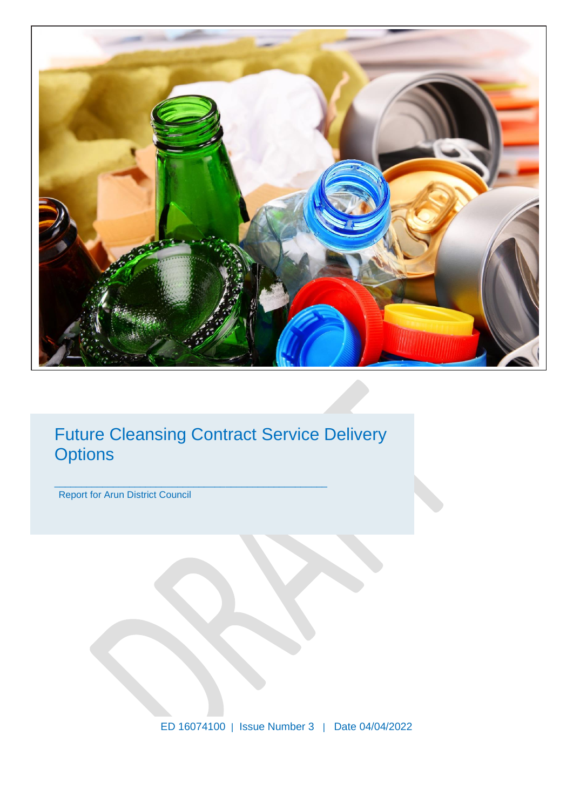

Future Cleansing Contract Service Delivery **Options** 

\_\_\_\_\_\_\_\_\_\_\_\_\_\_\_\_\_\_\_\_\_\_\_\_\_\_\_\_\_\_\_\_\_\_\_\_\_\_\_\_\_\_\_\_\_\_\_\_\_\_\_

Report for Arun District Council

ED 16074100 | Issue Number 3 | Date 04/04/2022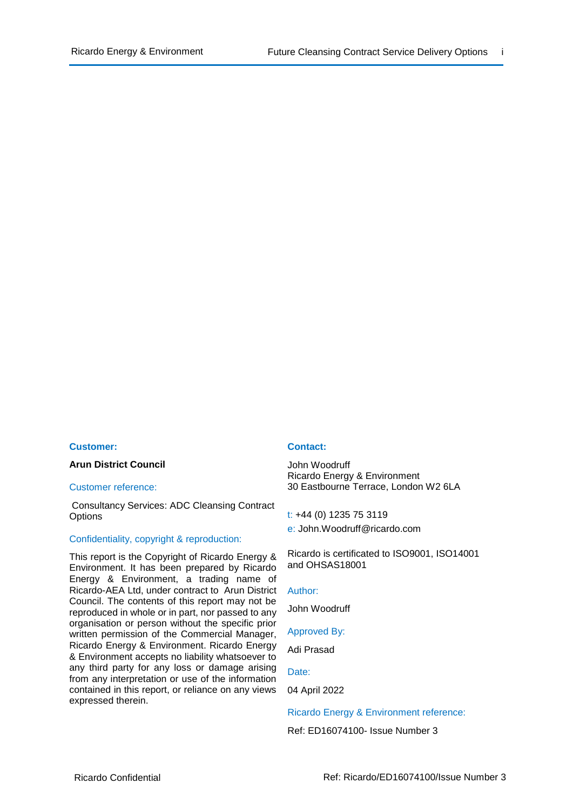#### **Customer: Contact:**

#### **Arun District Council Council** John Woodruff

#### Customer reference:

Consultancy Services: ADC Cleansing Contract **Options** 

#### Confidentiality, copyright & reproduction:

This report is the Copyright of Ricardo Energy & Environment. It has been prepared by Ricardo Energy & Environment, a trading name of Ricardo-AEA Ltd, under contract to Arun District Council. The contents of this report may not be reproduced in whole or in part, nor passed to any organisation or person without the specific prior written permission of the Commercial Manager, Ricardo Energy & Environment. Ricardo Energy & Environment accepts no liability whatsoever to any third party for any loss or damage arising from any interpretation or use of the information contained in this report, or reliance on any views expressed therein.

Ricardo Energy & Environment 30 Eastbourne Terrace, London W2 6LA

t: +44 (0) 1235 75 3119 e: John.Woodruff@ricardo.com

Ricardo is certificated to ISO9001, ISO14001 and OHSAS18001

#### Author:

John Woodruff

#### Approved By:

Adi Prasad

#### Date:

04 April 2022

#### Ricardo Energy & Environment reference:

Ref: ED16074100- Issue Number 3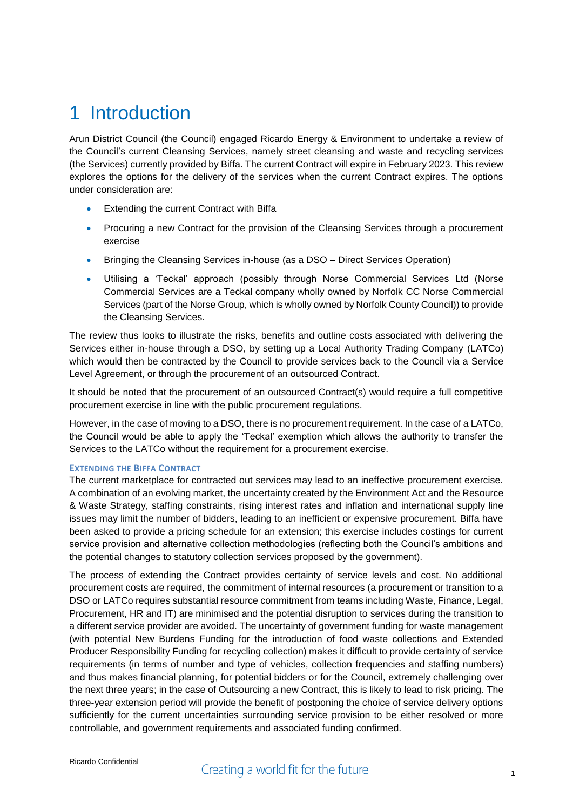# 1 Introduction

Arun District Council (the Council) engaged Ricardo Energy & Environment to undertake a review of the Council's current Cleansing Services, namely street cleansing and waste and recycling services (the Services) currently provided by Biffa. The current Contract will expire in February 2023. This review explores the options for the delivery of the services when the current Contract expires. The options under consideration are:

- Extending the current Contract with Biffa
- Procuring a new Contract for the provision of the Cleansing Services through a procurement exercise
- Bringing the Cleansing Services in-house (as a DSO Direct Services Operation)
- Utilising a 'Teckal' approach (possibly through Norse Commercial Services Ltd (Norse Commercial Services are a Teckal company wholly owned by Norfolk CC Norse Commercial Services (part of the Norse Group, which is wholly owned by Norfolk County Council)) to provide the Cleansing Services.

The review thus looks to illustrate the risks, benefits and outline costs associated with delivering the Services either in-house through a DSO, by setting up a Local Authority Trading Company (LATCo) which would then be contracted by the Council to provide services back to the Council via a Service Level Agreement, or through the procurement of an outsourced Contract.

It should be noted that the procurement of an outsourced Contract(s) would require a full competitive procurement exercise in line with the public procurement regulations.

However, in the case of moving to a DSO, there is no procurement requirement. In the case of a LATCo, the Council would be able to apply the 'Teckal' exemption which allows the authority to transfer the Services to the LATCo without the requirement for a procurement exercise.

#### **EXTENDING THE BIFFA CONTRACT**

The current marketplace for contracted out services may lead to an ineffective procurement exercise. A combination of an evolving market, the uncertainty created by the Environment Act and the Resource & Waste Strategy, staffing constraints, rising interest rates and inflation and international supply line issues may limit the number of bidders, leading to an inefficient or expensive procurement. Biffa have been asked to provide a pricing schedule for an extension; this exercise includes costings for current service provision and alternative collection methodologies (reflecting both the Council's ambitions and the potential changes to statutory collection services proposed by the government).

The process of extending the Contract provides certainty of service levels and cost. No additional procurement costs are required, the commitment of internal resources (a procurement or transition to a DSO or LATCo requires substantial resource commitment from teams including Waste, Finance, Legal, Procurement, HR and IT) are minimised and the potential disruption to services during the transition to a different service provider are avoided. The uncertainty of government funding for waste management (with potential New Burdens Funding for the introduction of food waste collections and Extended Producer Responsibility Funding for recycling collection) makes it difficult to provide certainty of service requirements (in terms of number and type of vehicles, collection frequencies and staffing numbers) and thus makes financial planning, for potential bidders or for the Council, extremely challenging over the next three years; in the case of Outsourcing a new Contract, this is likely to lead to risk pricing. The three-year extension period will provide the benefit of postponing the choice of service delivery options sufficiently for the current uncertainties surrounding service provision to be either resolved or more controllable, and government requirements and associated funding confirmed.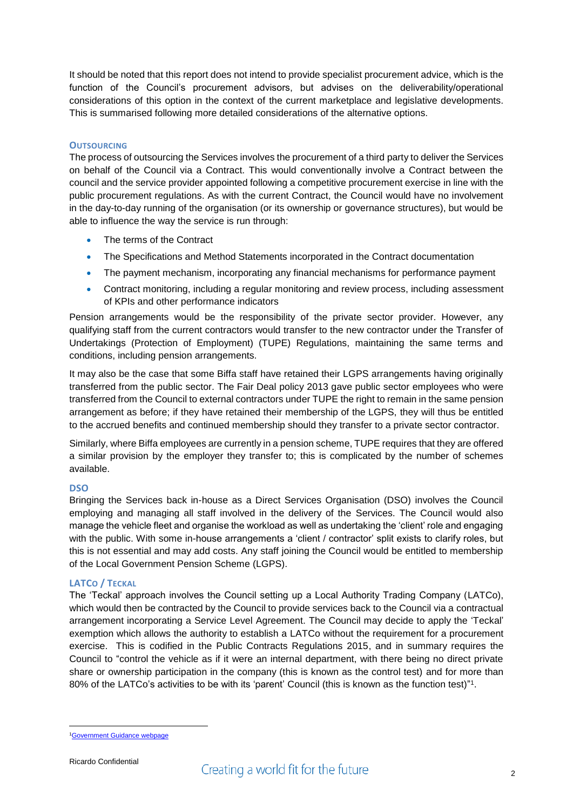It should be noted that this report does not intend to provide specialist procurement advice, which is the function of the Council's procurement advisors, but advises on the deliverability/operational considerations of this option in the context of the current marketplace and legislative developments. This is summarised following more detailed considerations of the alternative options.

#### **OUTSOURCING**

The process of outsourcing the Services involves the procurement of a third party to deliver the Services on behalf of the Council via a Contract. This would conventionally involve a Contract between the council and the service provider appointed following a competitive procurement exercise in line with the public procurement regulations. As with the current Contract, the Council would have no involvement in the day-to-day running of the organisation (or its ownership or governance structures), but would be able to influence the way the service is run through:

- The terms of the Contract
- The Specifications and Method Statements incorporated in the Contract documentation
- The payment mechanism, incorporating any financial mechanisms for performance payment
- Contract monitoring, including a regular monitoring and review process, including assessment of KPIs and other performance indicators

Pension arrangements would be the responsibility of the private sector provider. However, any qualifying staff from the current contractors would transfer to the new contractor under the Transfer of Undertakings (Protection of Employment) (TUPE) Regulations, maintaining the same terms and conditions, including pension arrangements.

It may also be the case that some Biffa staff have retained their LGPS arrangements having originally transferred from the public sector. The Fair Deal policy 2013 gave public sector employees who were transferred from the Council to external contractors under TUPE the right to remain in the same pension arrangement as before; if they have retained their membership of the LGPS, they will thus be entitled to the accrued benefits and continued membership should they transfer to a private sector contractor.

Similarly, where Biffa employees are currently in a pension scheme, TUPE requires that they are offered a similar provision by the employer they transfer to; this is complicated by the number of schemes available.

### **DSO**

Bringing the Services back in-house as a Direct Services Organisation (DSO) involves the Council employing and managing all staff involved in the delivery of the Services. The Council would also manage the vehicle fleet and organise the workload as well as undertaking the 'client' role and engaging with the public. With some in-house arrangements a 'client / contractor' split exists to clarify roles, but this is not essential and may add costs. Any staff joining the Council would be entitled to membership of the Local Government Pension Scheme (LGPS).

#### **LATCO / TECKAL**

The 'Teckal' approach involves the Council setting up a Local Authority Trading Company (LATCo), which would then be contracted by the Council to provide services back to the Council via a contractual arrangement incorporating a Service Level Agreement. The Council may decide to apply the 'Teckal' exemption which allows the authority to establish a LATCo without the requirement for a procurement exercise. This is codified in the Public Contracts Regulations 2015, and in summary requires the Council to "control the vehicle as if it were an internal department, with there being no direct private share or ownership participation in the company (this is known as the control test) and for more than 80% of the LATCo's activities to be with its 'parent' Council (this is known as the function test)"<sup>1</sup>.

-

<sup>1</sup>[Government Guidance webpage](https://www.gov.uk/government/publications/libraries-alternative-delivery-models-toolkit/alternative-delivery-models-explained)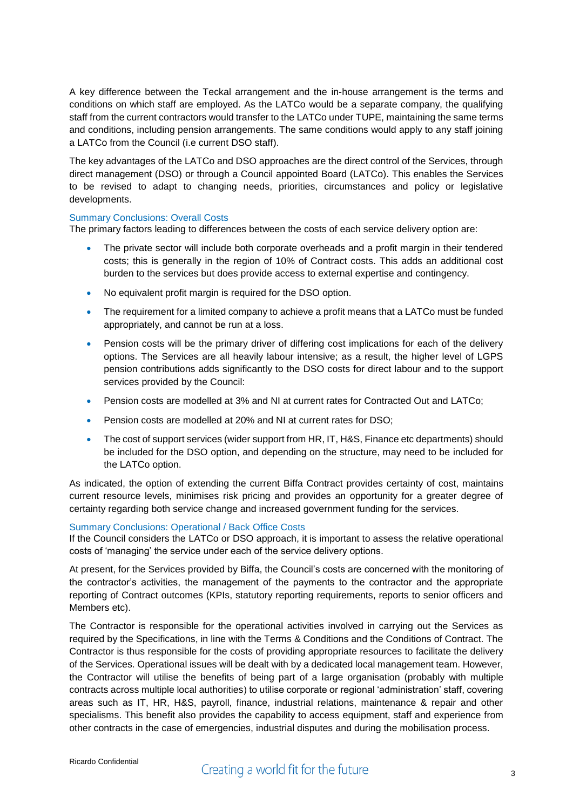A key difference between the Teckal arrangement and the in-house arrangement is the terms and conditions on which staff are employed. As the LATCo would be a separate company, the qualifying staff from the current contractors would transfer to the LATCo under TUPE, maintaining the same terms and conditions, including pension arrangements. The same conditions would apply to any staff joining a LATCo from the Council (i.e current DSO staff).

The key advantages of the LATCo and DSO approaches are the direct control of the Services, through direct management (DSO) or through a Council appointed Board (LATCo). This enables the Services to be revised to adapt to changing needs, priorities, circumstances and policy or legislative developments.

#### Summary Conclusions: Overall Costs

The primary factors leading to differences between the costs of each service delivery option are:

- The private sector will include both corporate overheads and a profit margin in their tendered costs; this is generally in the region of 10% of Contract costs. This adds an additional cost burden to the services but does provide access to external expertise and contingency.
- No equivalent profit margin is required for the DSO option.
- The requirement for a limited company to achieve a profit means that a LATCo must be funded appropriately, and cannot be run at a loss.
- Pension costs will be the primary driver of differing cost implications for each of the delivery options. The Services are all heavily labour intensive; as a result, the higher level of LGPS pension contributions adds significantly to the DSO costs for direct labour and to the support services provided by the Council:
- Pension costs are modelled at 3% and NI at current rates for Contracted Out and LATCo;
- Pension costs are modelled at 20% and NI at current rates for DSO;
- The cost of support services (wider support from HR, IT, H&S, Finance etc departments) should be included for the DSO option, and depending on the structure, may need to be included for the LATCo option.

As indicated, the option of extending the current Biffa Contract provides certainty of cost, maintains current resource levels, minimises risk pricing and provides an opportunity for a greater degree of certainty regarding both service change and increased government funding for the services.

#### Summary Conclusions: Operational / Back Office Costs

If the Council considers the LATCo or DSO approach, it is important to assess the relative operational costs of 'managing' the service under each of the service delivery options.

At present, for the Services provided by Biffa, the Council's costs are concerned with the monitoring of the contractor's activities, the management of the payments to the contractor and the appropriate reporting of Contract outcomes (KPIs, statutory reporting requirements, reports to senior officers and Members etc).

The Contractor is responsible for the operational activities involved in carrying out the Services as required by the Specifications, in line with the Terms & Conditions and the Conditions of Contract. The Contractor is thus responsible for the costs of providing appropriate resources to facilitate the delivery of the Services. Operational issues will be dealt with by a dedicated local management team. However, the Contractor will utilise the benefits of being part of a large organisation (probably with multiple contracts across multiple local authorities) to utilise corporate or regional 'administration' staff, covering areas such as IT, HR, H&S, payroll, finance, industrial relations, maintenance & repair and other specialisms. This benefit also provides the capability to access equipment, staff and experience from other contracts in the case of emergencies, industrial disputes and during the mobilisation process.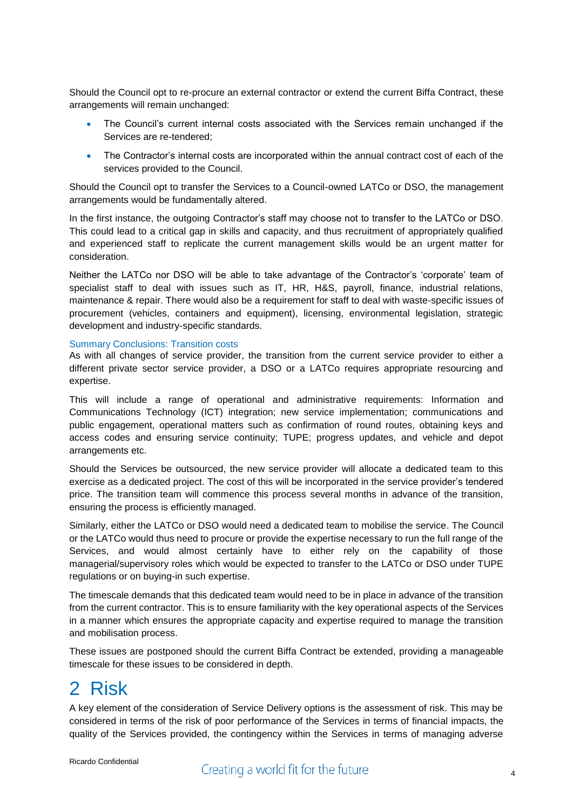Should the Council opt to re-procure an external contractor or extend the current Biffa Contract, these arrangements will remain unchanged:

- The Council's current internal costs associated with the Services remain unchanged if the Services are re-tendered;
- The Contractor's internal costs are incorporated within the annual contract cost of each of the services provided to the Council.

Should the Council opt to transfer the Services to a Council-owned LATCo or DSO, the management arrangements would be fundamentally altered.

In the first instance, the outgoing Contractor's staff may choose not to transfer to the LATCo or DSO. This could lead to a critical gap in skills and capacity, and thus recruitment of appropriately qualified and experienced staff to replicate the current management skills would be an urgent matter for consideration.

Neither the LATCo nor DSO will be able to take advantage of the Contractor's 'corporate' team of specialist staff to deal with issues such as IT, HR, H&S, payroll, finance, industrial relations, maintenance & repair. There would also be a requirement for staff to deal with waste-specific issues of procurement (vehicles, containers and equipment), licensing, environmental legislation, strategic development and industry-specific standards.

#### Summary Conclusions: Transition costs

As with all changes of service provider, the transition from the current service provider to either a different private sector service provider, a DSO or a LATCo requires appropriate resourcing and expertise.

This will include a range of operational and administrative requirements: Information and Communications Technology (ICT) integration; new service implementation; communications and public engagement, operational matters such as confirmation of round routes, obtaining keys and access codes and ensuring service continuity; TUPE; progress updates, and vehicle and depot arrangements etc.

Should the Services be outsourced, the new service provider will allocate a dedicated team to this exercise as a dedicated project. The cost of this will be incorporated in the service provider's tendered price. The transition team will commence this process several months in advance of the transition, ensuring the process is efficiently managed.

Similarly, either the LATCo or DSO would need a dedicated team to mobilise the service. The Council or the LATCo would thus need to procure or provide the expertise necessary to run the full range of the Services, and would almost certainly have to either rely on the capability of those managerial/supervisory roles which would be expected to transfer to the LATCo or DSO under TUPE regulations or on buying-in such expertise.

The timescale demands that this dedicated team would need to be in place in advance of the transition from the current contractor. This is to ensure familiarity with the key operational aspects of the Services in a manner which ensures the appropriate capacity and expertise required to manage the transition and mobilisation process.

These issues are postponed should the current Biffa Contract be extended, providing a manageable timescale for these issues to be considered in depth.

# 2 Risk

A key element of the consideration of Service Delivery options is the assessment of risk. This may be considered in terms of the risk of poor performance of the Services in terms of financial impacts, the quality of the Services provided, the contingency within the Services in terms of managing adverse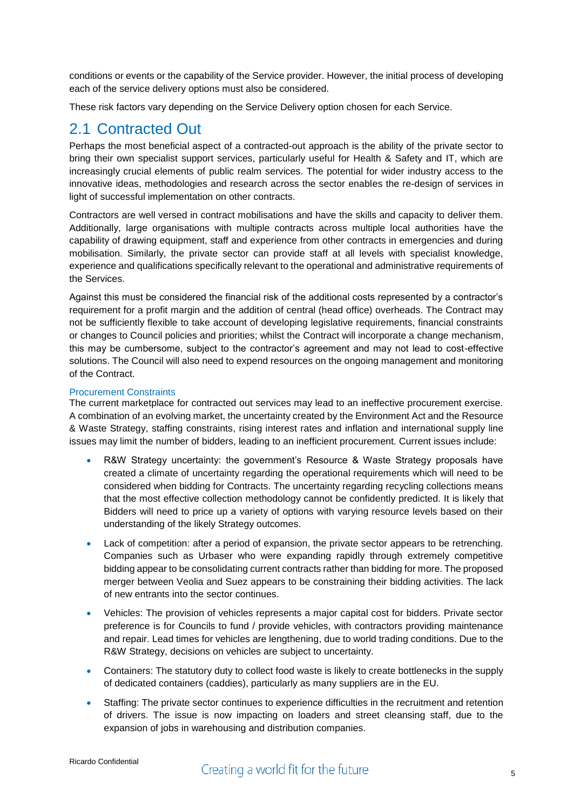conditions or events or the capability of the Service provider. However, the initial process of developing each of the service delivery options must also be considered.

These risk factors vary depending on the Service Delivery option chosen for each Service.

## 2.1 Contracted Out

Perhaps the most beneficial aspect of a contracted-out approach is the ability of the private sector to bring their own specialist support services, particularly useful for Health & Safety and IT, which are increasingly crucial elements of public realm services. The potential for wider industry access to the innovative ideas, methodologies and research across the sector enables the re-design of services in light of successful implementation on other contracts.

Contractors are well versed in contract mobilisations and have the skills and capacity to deliver them. Additionally, large organisations with multiple contracts across multiple local authorities have the capability of drawing equipment, staff and experience from other contracts in emergencies and during mobilisation. Similarly, the private sector can provide staff at all levels with specialist knowledge, experience and qualifications specifically relevant to the operational and administrative requirements of the Services.

Against this must be considered the financial risk of the additional costs represented by a contractor's requirement for a profit margin and the addition of central (head office) overheads. The Contract may not be sufficiently flexible to take account of developing legislative requirements, financial constraints or changes to Council policies and priorities; whilst the Contract will incorporate a change mechanism, this may be cumbersome, subject to the contractor's agreement and may not lead to cost-effective solutions. The Council will also need to expend resources on the ongoing management and monitoring of the Contract.

### Procurement Constraints

The current marketplace for contracted out services may lead to an ineffective procurement exercise. A combination of an evolving market, the uncertainty created by the Environment Act and the Resource & Waste Strategy, staffing constraints, rising interest rates and inflation and international supply line issues may limit the number of bidders, leading to an inefficient procurement. Current issues include:

- R&W Strategy uncertainty: the government's Resource & Waste Strategy proposals have created a climate of uncertainty regarding the operational requirements which will need to be considered when bidding for Contracts. The uncertainty regarding recycling collections means that the most effective collection methodology cannot be confidently predicted. It is likely that Bidders will need to price up a variety of options with varying resource levels based on their understanding of the likely Strategy outcomes.
- Lack of competition: after a period of expansion, the private sector appears to be retrenching. Companies such as Urbaser who were expanding rapidly through extremely competitive bidding appear to be consolidating current contracts rather than bidding for more. The proposed merger between Veolia and Suez appears to be constraining their bidding activities. The lack of new entrants into the sector continues.
- Vehicles: The provision of vehicles represents a major capital cost for bidders. Private sector preference is for Councils to fund / provide vehicles, with contractors providing maintenance and repair. Lead times for vehicles are lengthening, due to world trading conditions. Due to the R&W Strategy, decisions on vehicles are subject to uncertainty.
- Containers: The statutory duty to collect food waste is likely to create bottlenecks in the supply of dedicated containers (caddies), particularly as many suppliers are in the EU.
- Staffing: The private sector continues to experience difficulties in the recruitment and retention of drivers. The issue is now impacting on loaders and street cleansing staff, due to the expansion of jobs in warehousing and distribution companies.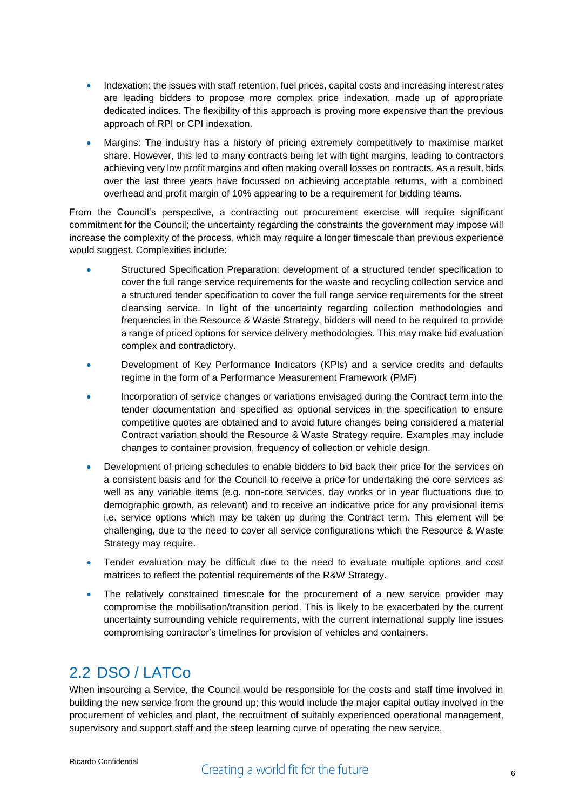- Indexation: the issues with staff retention, fuel prices, capital costs and increasing interest rates are leading bidders to propose more complex price indexation, made up of appropriate dedicated indices. The flexibility of this approach is proving more expensive than the previous approach of RPI or CPI indexation.
- Margins: The industry has a history of pricing extremely competitively to maximise market share. However, this led to many contracts being let with tight margins, leading to contractors achieving very low profit margins and often making overall losses on contracts. As a result, bids over the last three years have focussed on achieving acceptable returns, with a combined overhead and profit margin of 10% appearing to be a requirement for bidding teams.

From the Council's perspective, a contracting out procurement exercise will require significant commitment for the Council; the uncertainty regarding the constraints the government may impose will increase the complexity of the process, which may require a longer timescale than previous experience would suggest. Complexities include:

- Structured Specification Preparation: development of a structured tender specification to cover the full range service requirements for the waste and recycling collection service and a structured tender specification to cover the full range service requirements for the street cleansing service. In light of the uncertainty regarding collection methodologies and frequencies in the Resource & Waste Strategy, bidders will need to be required to provide a range of priced options for service delivery methodologies. This may make bid evaluation complex and contradictory.
- Development of Key Performance Indicators (KPIs) and a service credits and defaults regime in the form of a Performance Measurement Framework (PMF)
- Incorporation of service changes or variations envisaged during the Contract term into the tender documentation and specified as optional services in the specification to ensure competitive quotes are obtained and to avoid future changes being considered a material Contract variation should the Resource & Waste Strategy require. Examples may include changes to container provision, frequency of collection or vehicle design.
- Development of pricing schedules to enable bidders to bid back their price for the services on a consistent basis and for the Council to receive a price for undertaking the core services as well as any variable items (e.g. non-core services, day works or in year fluctuations due to demographic growth, as relevant) and to receive an indicative price for any provisional items i.e. service options which may be taken up during the Contract term. This element will be challenging, due to the need to cover all service configurations which the Resource & Waste Strategy may require.
- Tender evaluation may be difficult due to the need to evaluate multiple options and cost matrices to reflect the potential requirements of the R&W Strategy.
- The relatively constrained timescale for the procurement of a new service provider may compromise the mobilisation/transition period. This is likely to be exacerbated by the current uncertainty surrounding vehicle requirements, with the current international supply line issues compromising contractor's timelines for provision of vehicles and containers.

# 2.2 DSO / LATCo

When insourcing a Service, the Council would be responsible for the costs and staff time involved in building the new service from the ground up; this would include the major capital outlay involved in the procurement of vehicles and plant, the recruitment of suitably experienced operational management, supervisory and support staff and the steep learning curve of operating the new service.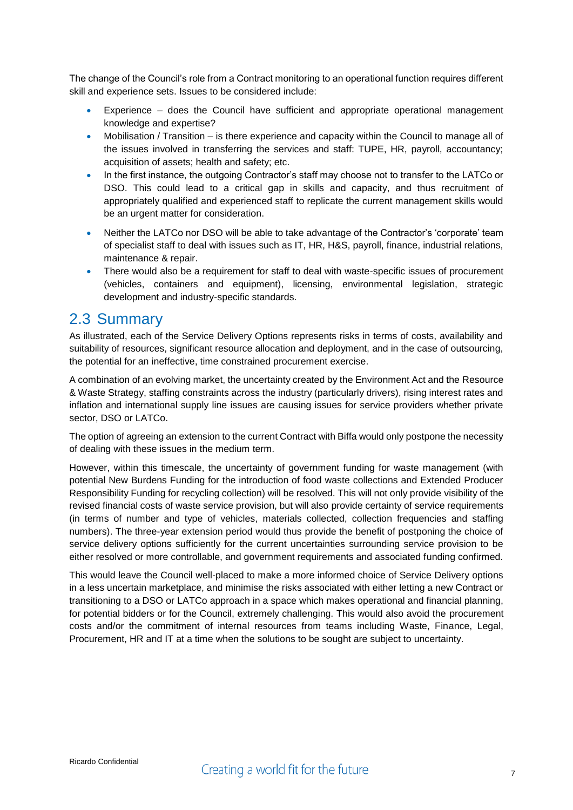The change of the Council's role from a Contract monitoring to an operational function requires different skill and experience sets. Issues to be considered include:

- Experience does the Council have sufficient and appropriate operational management knowledge and expertise?
- Mobilisation / Transition is there experience and capacity within the Council to manage all of the issues involved in transferring the services and staff: TUPE, HR, payroll, accountancy; acquisition of assets; health and safety; etc.
- In the first instance, the outgoing Contractor's staff may choose not to transfer to the LATCo or DSO. This could lead to a critical gap in skills and capacity, and thus recruitment of appropriately qualified and experienced staff to replicate the current management skills would be an urgent matter for consideration.
- Neither the LATCo nor DSO will be able to take advantage of the Contractor's 'corporate' team of specialist staff to deal with issues such as IT, HR, H&S, payroll, finance, industrial relations, maintenance & repair.
- There would also be a requirement for staff to deal with waste-specific issues of procurement (vehicles, containers and equipment), licensing, environmental legislation, strategic development and industry-specific standards.

### 2.3 Summary

As illustrated, each of the Service Delivery Options represents risks in terms of costs, availability and suitability of resources, significant resource allocation and deployment, and in the case of outsourcing, the potential for an ineffective, time constrained procurement exercise.

A combination of an evolving market, the uncertainty created by the Environment Act and the Resource & Waste Strategy, staffing constraints across the industry (particularly drivers), rising interest rates and inflation and international supply line issues are causing issues for service providers whether private sector, DSO or LATCo.

The option of agreeing an extension to the current Contract with Biffa would only postpone the necessity of dealing with these issues in the medium term.

However, within this timescale, the uncertainty of government funding for waste management (with potential New Burdens Funding for the introduction of food waste collections and Extended Producer Responsibility Funding for recycling collection) will be resolved. This will not only provide visibility of the revised financial costs of waste service provision, but will also provide certainty of service requirements (in terms of number and type of vehicles, materials collected, collection frequencies and staffing numbers). The three-year extension period would thus provide the benefit of postponing the choice of service delivery options sufficiently for the current uncertainties surrounding service provision to be either resolved or more controllable, and government requirements and associated funding confirmed.

This would leave the Council well-placed to make a more informed choice of Service Delivery options in a less uncertain marketplace, and minimise the risks associated with either letting a new Contract or transitioning to a DSO or LATCo approach in a space which makes operational and financial planning, for potential bidders or for the Council, extremely challenging. This would also avoid the procurement costs and/or the commitment of internal resources from teams including Waste, Finance, Legal, Procurement, HR and IT at a time when the solutions to be sought are subject to uncertainty.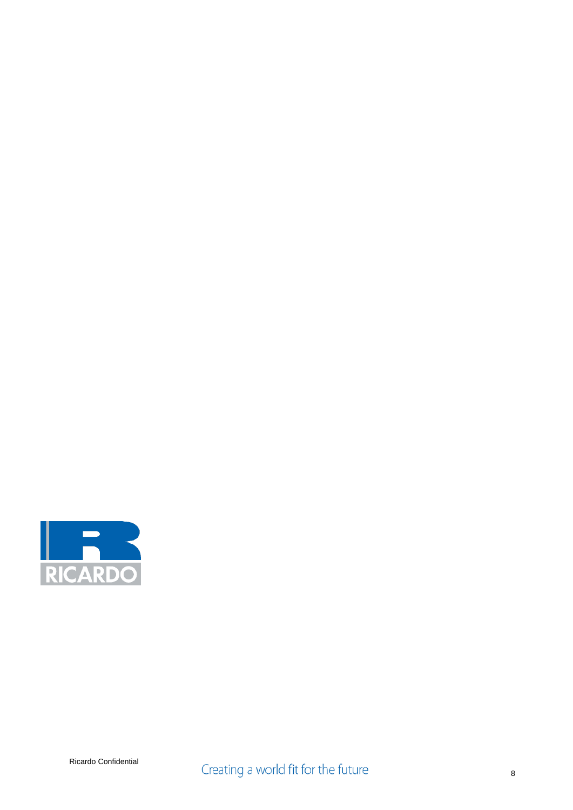